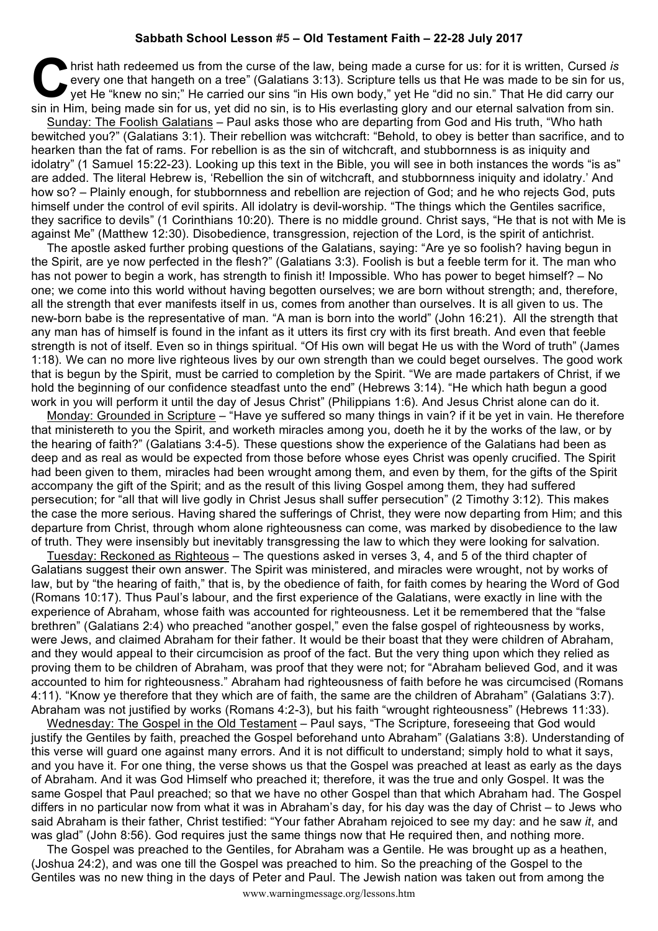## **Sabbath School Lesson #5 – Old Testament Faith – 22-28 July 2017**

hrist hath redeemed us from the curse of the law, being made a curse for us: for it is written, Cursed *is*<br>
every one that hangeth on a tree" (Galatians 3:13). Scripture tells us that He was made to be sin for us<br>
yet He every one that hangeth on a tree" (Galatians 3:13). Scripture tells us that He was made to be sin for us, yet He "knew no sin;" He carried our sins "in His own body," yet He "did no sin." That He did carry our sin in Him, being made sin for us, yet did no sin, is to His everlasting glory and our eternal salvation from sin. Sunday: The Foolish Galatians – Paul asks those who are departing from God and His truth, "Who hath bewitched you?" (Galatians 3:1). Their rebellion was witchcraft: "Behold, to obey is better than sacrifice, and to hearken than the fat of rams. For rebellion is as the sin of witchcraft, and stubbornness is as iniquity and idolatry" (1 Samuel 15:22-23). Looking up this text in the Bible, you will see in both instances the words "is as" are added. The literal Hebrew is, 'Rebellion the sin of witchcraft, and stubbornness iniquity and idolatry.' And how so? – Plainly enough, for stubbornness and rebellion are rejection of God; and he who rejects God, puts himself under the control of evil spirits. All idolatry is devil-worship. "The things which the Gentiles sacrifice, they sacrifice to devils" (1 Corinthians 10:20). There is no middle ground. Christ says, "He that is not with Me is against Me" (Matthew 12:30). Disobedience, transgression, rejection of the Lord, is the spirit of antichrist.

The apostle asked further probing questions of the Galatians, saying: "Are ye so foolish? having begun in the Spirit, are ye now perfected in the flesh?" (Galatians 3:3). Foolish is but a feeble term for it. The man who has not power to begin a work, has strength to finish it! Impossible. Who has power to beget himself? – No one; we come into this world without having begotten ourselves; we are born without strength; and, therefore, all the strength that ever manifests itself in us, comes from another than ourselves. It is all given to us. The new-born babe is the representative of man. "A man is born into the world" (John 16:21). All the strength that any man has of himself is found in the infant as it utters its first cry with its first breath. And even that feeble strength is not of itself. Even so in things spiritual. "Of His own will begat He us with the Word of truth" (James 1:18). We can no more live righteous lives by our own strength than we could beget ourselves. The good work that is begun by the Spirit, must be carried to completion by the Spirit. "We are made partakers of Christ, if we hold the beginning of our confidence steadfast unto the end" (Hebrews 3:14). "He which hath begun a good work in you will perform it until the day of Jesus Christ" (Philippians 1:6). And Jesus Christ alone can do it.

Monday: Grounded in Scripture – "Have ye suffered so many things in vain? if it be yet in vain. He therefore that ministereth to you the Spirit, and worketh miracles among you, doeth he it by the works of the law, or by the hearing of faith?" (Galatians 3:4-5). These questions show the experience of the Galatians had been as deep and as real as would be expected from those before whose eyes Christ was openly crucified. The Spirit had been given to them, miracles had been wrought among them, and even by them, for the gifts of the Spirit accompany the gift of the Spirit; and as the result of this living Gospel among them, they had suffered persecution; for "all that will live godly in Christ Jesus shall suffer persecution" (2 Timothy 3:12). This makes the case the more serious. Having shared the sufferings of Christ, they were now departing from Him; and this departure from Christ, through whom alone righteousness can come, was marked by disobedience to the law of truth. They were insensibly but inevitably transgressing the law to which they were looking for salvation.

Tuesday: Reckoned as Righteous – The questions asked in verses 3, 4, and 5 of the third chapter of Galatians suggest their own answer. The Spirit was ministered, and miracles were wrought, not by works of law, but by "the hearing of faith," that is, by the obedience of faith, for faith comes by hearing the Word of God (Romans 10:17). Thus Paul's labour, and the first experience of the Galatians, were exactly in line with the experience of Abraham, whose faith was accounted for righteousness. Let it be remembered that the "false brethren" (Galatians 2:4) who preached "another gospel," even the false gospel of righteousness by works, were Jews, and claimed Abraham for their father. It would be their boast that they were children of Abraham, and they would appeal to their circumcision as proof of the fact. But the very thing upon which they relied as proving them to be children of Abraham, was proof that they were not; for "Abraham believed God, and it was accounted to him for righteousness." Abraham had righteousness of faith before he was circumcised (Romans 4:11). "Know ye therefore that they which are of faith, the same are the children of Abraham" (Galatians 3:7). Abraham was not justified by works (Romans 4:2-3), but his faith "wrought righteousness" (Hebrews 11:33).

Wednesday: The Gospel in the Old Testament – Paul says, "The Scripture, foreseeing that God would justify the Gentiles by faith, preached the Gospel beforehand unto Abraham" (Galatians 3:8). Understanding of this verse will guard one against many errors. And it is not difficult to understand; simply hold to what it says, and you have it. For one thing, the verse shows us that the Gospel was preached at least as early as the days of Abraham. And it was God Himself who preached it; therefore, it was the true and only Gospel. It was the same Gospel that Paul preached; so that we have no other Gospel than that which Abraham had. The Gospel differs in no particular now from what it was in Abraham's day, for his day was the day of Christ – to Jews who said Abraham is their father, Christ testified: "Your father Abraham rejoiced to see my day: and he saw *it*, and was glad" (John 8:56). God requires just the same things now that He required then, and nothing more.

The Gospel was preached to the Gentiles, for Abraham was a Gentile. He was brought up as a heathen, (Joshua 24:2), and was one till the Gospel was preached to him. So the preaching of the Gospel to the Gentiles was no new thing in the days of Peter and Paul. The Jewish nation was taken out from among the